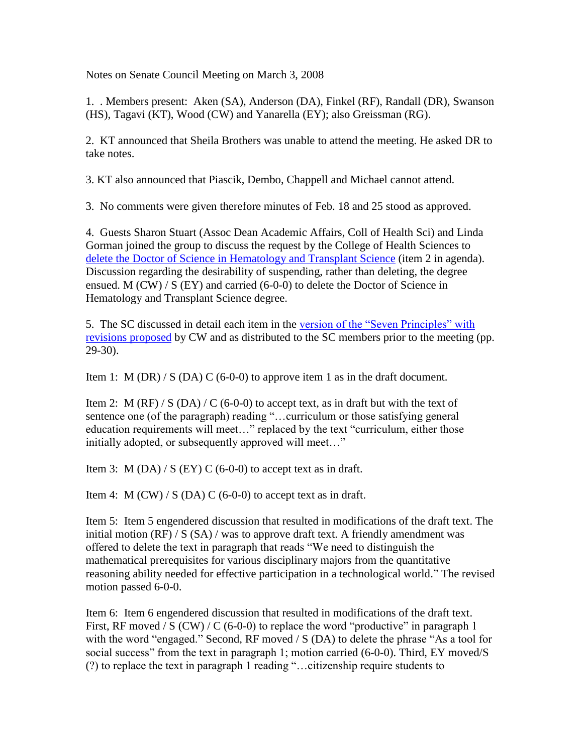Notes on Senate Council Meeting on March 3, 2008

1. . Members present: Aken (SA), Anderson (DA), Finkel (RF), Randall (DR), Swanson (HS), Tagavi (KT), Wood (CW) and Yanarella (EY); also Greissman (RG).

2. KT announced that Sheila Brothers was unable to attend the meeting. He asked DR to take notes.

3. KT also announced that Piascik, Dembo, Chappell and Michael cannot attend.

3. No comments were given therefore minutes of Feb. 18 and 25 stood as approved.

4. Guests Sharon Stuart (Assoc Dean Academic Affairs, Coll of Health Sci) and Linda Gorman joined the group to discuss the request by the College of Health Sciences to [delete the Doctor of Science in Hematology and Transplant Science](http://www.uky.edu/USC/New/files/20080305/Dr%20Sci%20-%20Clinical%20Sci%20-%20Prog%20Deletion_Complete.pdf) (item 2 in agenda). Discussion regarding the desirability of suspending, rather than deleting, the degree ensued. M (CW) / S (EY) and carried (6-0-0) to delete the Doctor of Science in Hematology and Transplant Science degree.

5. The SC discussed in detail each item in the version of the "Seven Principles" with [revisions proposed](http://www.uky.edu/USC/New/files/20080305/Prin%20Gen%20Ed_Post-Senate_Modified%20Track%20Version.pdf) by CW and as distributed to the SC members prior to the meeting (pp. 29-30).

Item 1: M (DR) / S (DA) C (6-0-0) to approve item 1 as in the draft document.

Item 2: M (RF) / S (DA) / C (6-0-0) to accept text, as in draft but with the text of sentence one (of the paragraph) reading "…curriculum or those satisfying general education requirements will meet…" replaced by the text "curriculum, either those initially adopted, or subsequently approved will meet…"

Item 3: M (DA) / S (EY) C (6-0-0) to accept text as in draft.

Item 4: M  $(CW) / S$  (DA) C (6-0-0) to accept text as in draft.

Item 5: Item 5 engendered discussion that resulted in modifications of the draft text. The initial motion  $(RF) / S (SA) / was$  to approve draft text. A friendly amendment was offered to delete the text in paragraph that reads "We need to distinguish the mathematical prerequisites for various disciplinary majors from the quantitative reasoning ability needed for effective participation in a technological world." The revised motion passed 6-0-0.

Item 6: Item 6 engendered discussion that resulted in modifications of the draft text. First, RF moved / S  $(CW)$  / C  $(6-0-0)$  to replace the word "productive" in paragraph 1 with the word "engaged." Second, RF moved / S (DA) to delete the phrase "As a tool for social success" from the text in paragraph 1; motion carried (6-0-0). Third, EY moved/S (?) to replace the text in paragraph 1 reading "…citizenship require students to